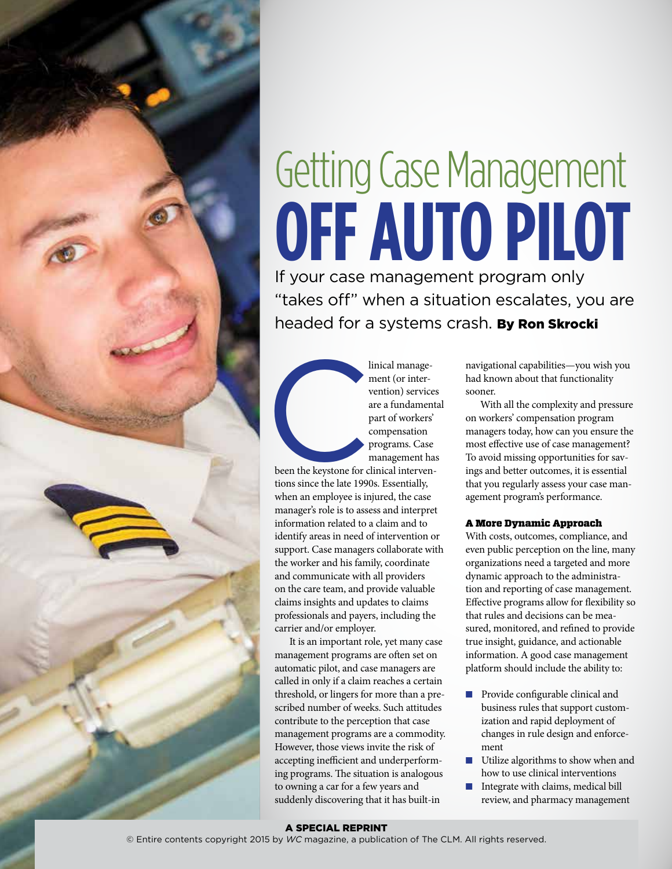

# Getting Case Management **Off Auto Pilot**

If your case management program only "takes off" when a situation escalates, you are headed for a systems crash. By Ron Skrocki

linical manage-<br>
ment (or inter-<br>
vention) service<br>
are a fundamen<br>
part of workers<br>
compensation<br>
programs. Case<br>
management ha<br>
been the keystone for clinical interventions<br>
since the late 1990s. Essentially, ment (or intervention) services are a fundamental part of workers' compensation programs. Case management has

been the keystone for clinical interventions since the late 1990s. Essentially, when an employee is injured, the case manager's role is to assess and interpret information related to a claim and to identify areas in need of intervention or support. Case managers collaborate with the worker and his family, coordinate and communicate with all providers on the care team, and provide valuable claims insights and updates to claims professionals and payers, including the carrier and/or employer.

It is an important role, yet many case management programs are often set on automatic pilot, and case managers are called in only if a claim reaches a certain threshold, or lingers for more than a prescribed number of weeks. Such attitudes contribute to the perception that case management programs are a commodity. However, those views invite the risk of accepting inefficient and underperforming programs. The situation is analogous to owning a car for a few years and suddenly discovering that it has built-in

navigational capabilities—you wish you had known about that functionality sooner.

With all the complexity and pressure on workers' compensation program managers today, how can you ensure the most effective use of case management? To avoid missing opportunities for savings and better outcomes, it is essential that you regularly assess your case management program's performance.

# A More Dynamic Approach

With costs, outcomes, compliance, and even public perception on the line, many organizations need a targeted and more dynamic approach to the administration and reporting of case management. Effective programs allow for flexibility so that rules and decisions can be measured, monitored, and refined to provide true insight, guidance, and actionable information. A good case management platform should include the ability to:

- $\blacksquare$  Provide configurable clinical and business rules that support customization and rapid deployment of changes in rule design and enforcement
- $\blacksquare$  Utilize algorithms to show when and how to use clinical interventions
	- Integrate with claims, medical bill review, and pharmacy management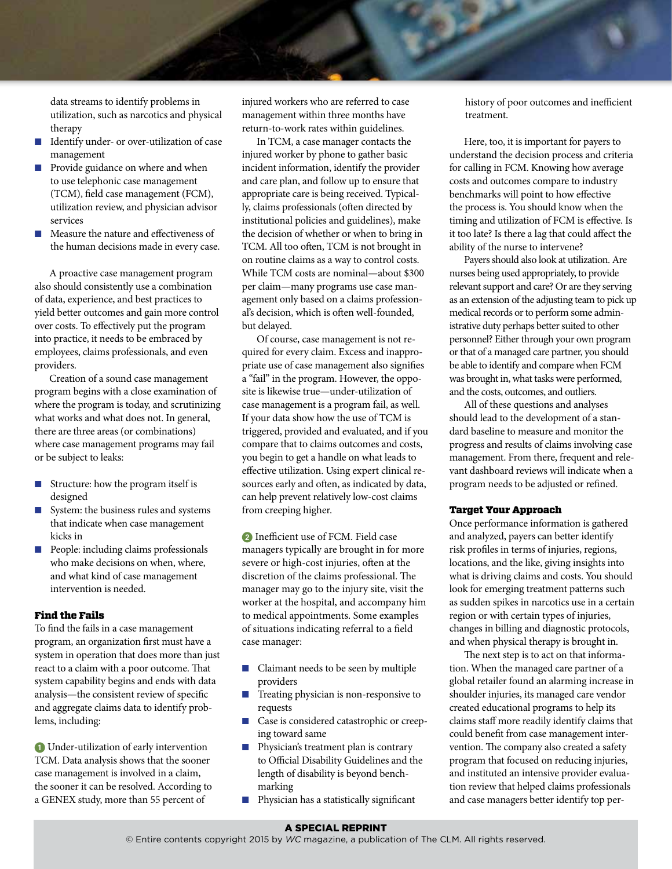data streams to identify problems in utilization, such as narcotics and physical therapy

- $\blacksquare$  Identify under- or over-utilization of case management
- Provide guidance on where and when to use telephonic case management (TCM), field case management (FCM), utilization review, and physician advisor services
- Measure the nature and effectiveness of the human decisions made in every case.

A proactive case management program also should consistently use a combination of data, experience, and best practices to yield better outcomes and gain more control over costs. To effectively put the program into practice, it needs to be embraced by employees, claims professionals, and even providers.

Creation of a sound case management program begins with a close examination of where the program is today, and scrutinizing what works and what does not. In general, there are three areas (or combinations) where case management programs may fail or be subject to leaks:

- Structure: how the program itself is designed
- $\blacksquare$  System: the business rules and systems that indicate when case management kicks in
- $\blacksquare$  People: including claims professionals who make decisions on when, where, and what kind of case management intervention is needed.

# Find the Fails

To find the fails in a case management program, an organization first must have a system in operation that does more than just react to a claim with a poor outcome. That system capability begins and ends with data analysis—the consistent review of specific and aggregate claims data to identify problems, including:

1 Under-utilization of early intervention TCM. Data analysis shows that the sooner case management is involved in a claim, the sooner it can be resolved. According to a GENEX study, more than 55 percent of

injured workers who are referred to case management within three months have return-to-work rates within guidelines.

In TCM, a case manager contacts the injured worker by phone to gather basic incident information, identify the provider and care plan, and follow up to ensure that appropriate care is being received. Typically, claims professionals (often directed by institutional policies and guidelines), make the decision of whether or when to bring in TCM. All too often, TCM is not brought in on routine claims as a way to control costs. While TCM costs are nominal—about \$300 per claim—many programs use case management only based on a claims professional's decision, which is often well-founded, but delayed.

Of course, case management is not required for every claim. Excess and inappropriate use of case management also signifies a "fail" in the program. However, the opposite is likewise true—under-utilization of case management is a program fail, as well. If your data show how the use of TCM is triggered, provided and evaluated, and if you compare that to claims outcomes and costs, you begin to get a handle on what leads to effective utilization. Using expert clinical resources early and often, as indicated by data, can help prevent relatively low-cost claims from creeping higher.

**2** Inefficient use of FCM. Field case managers typically are brought in for more severe or high-cost injuries, often at the discretion of the claims professional. The manager may go to the injury site, visit the worker at the hospital, and accompany him to medical appointments. Some examples of situations indicating referral to a field case manager:

- $\blacksquare$  Claimant needs to be seen by multiple providers
- $\blacksquare$  Treating physician is non-responsive to requests
- $\Box$  Case is considered catastrophic or creeping toward same
- $\blacksquare$  Physician's treatment plan is contrary to Official Disability Guidelines and the length of disability is beyond benchmarking
- $\blacksquare$  Physician has a statistically significant

history of poor outcomes and inefficient treatment.

Here, too, it is important for payers to understand the decision process and criteria for calling in FCM. Knowing how average costs and outcomes compare to industry benchmarks will point to how effective the process is. You should know when the timing and utilization of FCM is effective. Is it too late? Is there a lag that could affect the ability of the nurse to intervene?

Payers should also look at utilization. Are nurses being used appropriately, to provide relevant support and care? Or are they serving as an extension of the adjusting team to pick up medical records or to perform some administrative duty perhaps better suited to other personnel? Either through your own program or that of a managed care partner, you should be able to identify and compare when FCM was brought in, what tasks were performed, and the costs, outcomes, and outliers.

All of these questions and analyses should lead to the development of a standard baseline to measure and monitor the progress and results of claims involving case management. From there, frequent and relevant dashboard reviews will indicate when a program needs to be adjusted or refined.

### Target Your Approach

Once performance information is gathered and analyzed, payers can better identify risk profiles in terms of injuries, regions, locations, and the like, giving insights into what is driving claims and costs. You should look for emerging treatment patterns such as sudden spikes in narcotics use in a certain region or with certain types of injuries, changes in billing and diagnostic protocols, and when physical therapy is brought in.

The next step is to act on that information. When the managed care partner of a global retailer found an alarming increase in shoulder injuries, its managed care vendor created educational programs to help its claims staff more readily identify claims that could benefit from case management intervention. The company also created a safety program that focused on reducing injuries, and instituted an intensive provider evaluation review that helped claims professionals and case managers better identify top per-

### A SPECIAL REPRINT